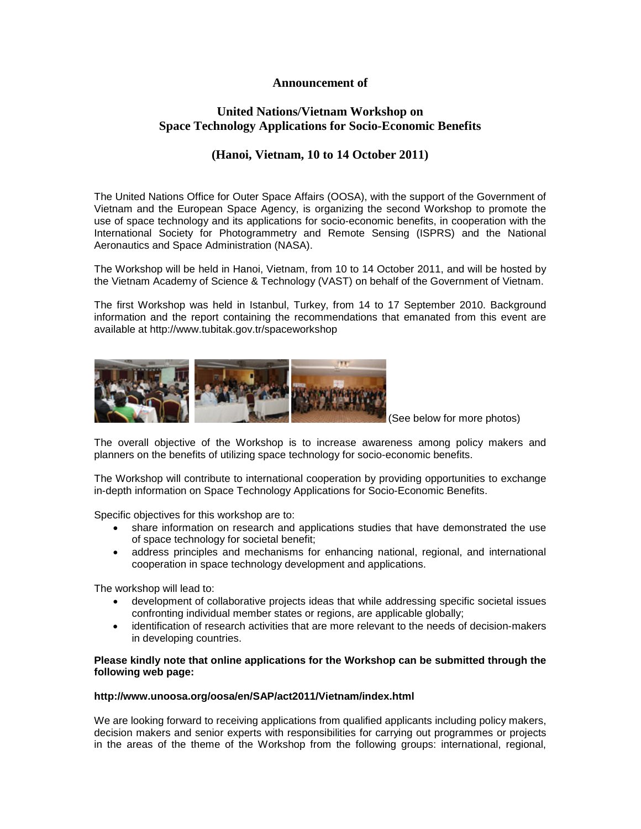### **Announcement of**

# **United Nations/Vietnam Workshop on Space Technology Applications for Socio-Economic Benefits**

# **(Hanoi, Vietnam, 10 to 14 October 2011)**

The United Nations Office for Outer Space Affairs (OOSA), with the support of the Government of Vietnam and the European Space Agency, is organizing the second Workshop to promote the use of space technology and its applications for socio-economic benefits, in cooperation with the International Society for Photogrammetry and Remote Sensing (ISPRS) and the National Aeronautics and Space Administration (NASA).

The Workshop will be held in Hanoi, Vietnam, from 10 to 14 October 2011, and will be hosted by the Vietnam Academy of Science & Technology (VAST) on behalf of the Government of Vietnam.

The first Workshop was held in Istanbul, Turkey, from 14 to 17 September 2010. Background information and the report containing the recommendations that emanated from this event are available at<http://www.tubitak.gov.tr/spaceworkshop>



(See below for more photos)

The overall objective of the Workshop is to increase awareness among policy makers and planners on the benefits of utilizing space technology for socio-economic benefits.

The Workshop will contribute to international cooperation by providing opportunities to exchange in-depth information on Space Technology Applications for Socio-Economic Benefits.

Specific objectives for this workshop are to:

- share information on research and applications studies that have demonstrated the use of space technology for societal benefit;
- address principles and mechanisms for enhancing national, regional, and international cooperation in space technology development and applications.

The workshop will lead to:

- development of collaborative projects ideas that while addressing specific societal issues confronting individual member states or regions, are applicable globally;
- identification of research activities that are more relevant to the needs of decision-makers in developing countries.

#### **Please kindly note that online applications for the Workshop can be submitted through the following web page:**

#### **http://www.unoosa.org/oosa/en/SAP/act2011/Vietnam/index.html**

We are looking forward to receiving applications from qualified applicants including policy makers, decision makers and senior experts with responsibilities for carrying out programmes or projects in the areas of the theme of the Workshop from the following groups: international, regional,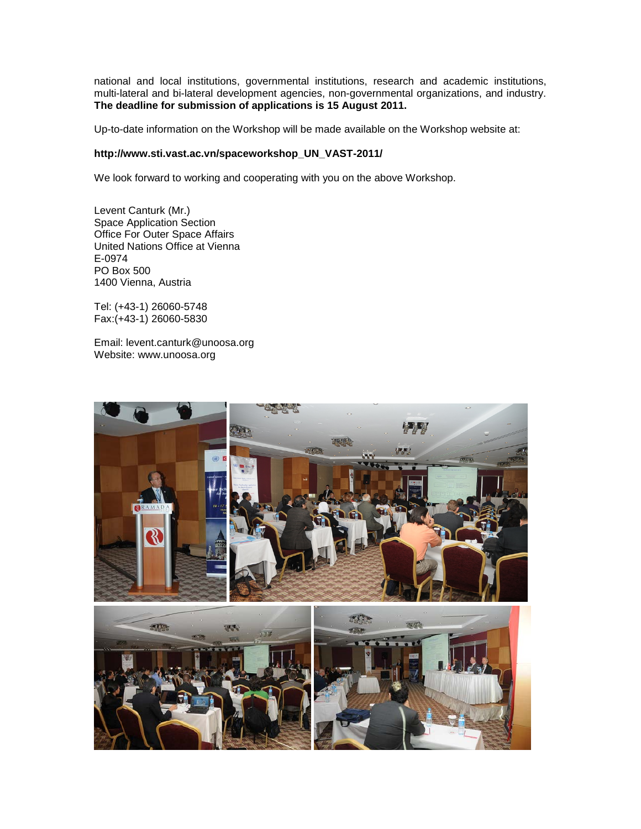national and local institutions, governmental institutions, research and academic institutions, multi-lateral and bi-lateral development agencies, non-governmental organizations, and industry. **The deadline for submission of applications is 15 August 2011.**

Up-to-date information on the Workshop will be made available on the Workshop website at:

### **http://www.sti.vast.ac.vn/spaceworkshop\_UN\_VAST-2011/**

We look forward to working and cooperating with you on the above Workshop.

Levent Canturk (Mr.) Space Application Section Office For Outer Space Affairs United Nations Office at Vienna E-0974 PO Box 500 1400 Vienna, Austria

Tel: (+43-1) 26060-5748 Fax:(+43-1) 26060-5830

Email: levent.canturk@unoosa.org Website: www.unoosa.org